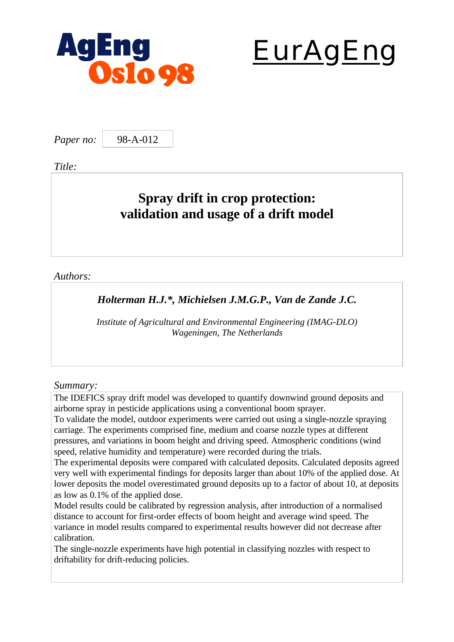



*Paper no:* 98-A-012

*Title:*

# **Spray drift in crop protection: validation and usage of a drift model**

*Authors:*

## *Holterman H.J.\*, Michielsen J.M.G.P., Van de Zande J.C.*

*Institute of Agricultural and Environmental Engineering (IMAG-DLO) Wageningen, The Netherlands*

## *Summary:*

The IDEFICS spray drift model was developed to quantify downwind ground deposits and airborne spray in pesticide applications using a conventional boom sprayer.

To validate the model, outdoor experiments were carried out using a single-nozzle spraying carriage. The experiments comprised fine, medium and coarse nozzle types at different pressures, and variations in boom height and driving speed. Atmospheric conditions (wind speed, relative humidity and temperature) were recorded during the trials.

The experimental deposits were compared with calculated deposits. Calculated deposits agreed very well with experimental findings for deposits larger than about 10% of the applied dose. At lower deposits the model overestimated ground deposits up to a factor of about 10, at deposits as low as 0.1% of the applied dose.

Model results could be calibrated by regression analysis, after introduction of a normalised distance to account for first-order effects of boom height and average wind speed. The variance in model results compared to experimental results however did not decrease after calibration.

The single-nozzle experiments have high potential in classifying nozzles with respect to driftability for drift-reducing policies.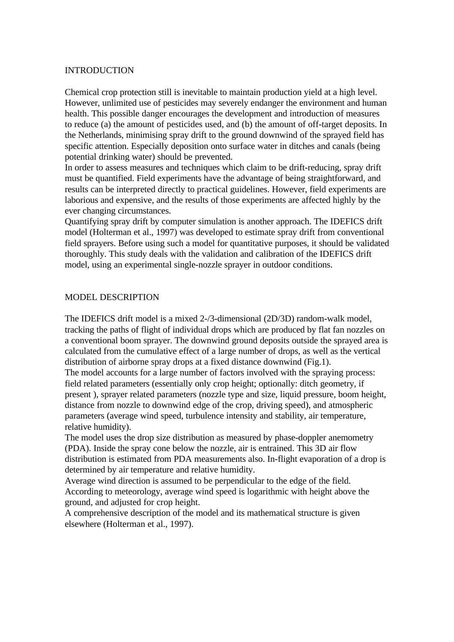#### INTRODUCTION

Chemical crop protection still is inevitable to maintain production yield at a high level. However, unlimited use of pesticides may severely endanger the environment and human health. This possible danger encourages the development and introduction of measures to reduce (a) the amount of pesticides used, and (b) the amount of off-target deposits. In the Netherlands, minimising spray drift to the ground downwind of the sprayed field has specific attention. Especially deposition onto surface water in ditches and canals (being potential drinking water) should be prevented.

In order to assess measures and techniques which claim to be drift-reducing, spray drift must be quantified. Field experiments have the advantage of being straightforward, and results can be interpreted directly to practical guidelines. However, field experiments are laborious and expensive, and the results of those experiments are affected highly by the ever changing circumstances.

Quantifying spray drift by computer simulation is another approach. The IDEFICS drift model (Holterman et al., 1997) was developed to estimate spray drift from conventional field sprayers. Before using such a model for quantitative purposes, it should be validated thoroughly. This study deals with the validation and calibration of the IDEFICS drift model, using an experimental single-nozzle sprayer in outdoor conditions.

#### MODEL DESCRIPTION

The IDEFICS drift model is a mixed 2-/3-dimensional (2D/3D) random-walk model, tracking the paths of flight of individual drops which are produced by flat fan nozzles on a conventional boom sprayer. The downwind ground deposits outside the sprayed area is calculated from the cumulative effect of a large number of drops, as well as the vertical distribution of airborne spray drops at a fixed distance downwind (Fig.1).

The model accounts for a large number of factors involved with the spraying process: field related parameters (essentially only crop height; optionally: ditch geometry, if present ), sprayer related parameters (nozzle type and size, liquid pressure, boom height, distance from nozzle to downwind edge of the crop, driving speed), and atmospheric parameters (average wind speed, turbulence intensity and stability, air temperature, relative humidity).

The model uses the drop size distribution as measured by phase-doppler anemometry (PDA). Inside the spray cone below the nozzle, air is entrained. This 3D air flow distribution is estimated from PDA measurements also. In-flight evaporation of a drop is determined by air temperature and relative humidity.

Average wind direction is assumed to be perpendicular to the edge of the field. According to meteorology, average wind speed is logarithmic with height above the ground, and adjusted for crop height.

A comprehensive description of the model and its mathematical structure is given elsewhere (Holterman et al., 1997).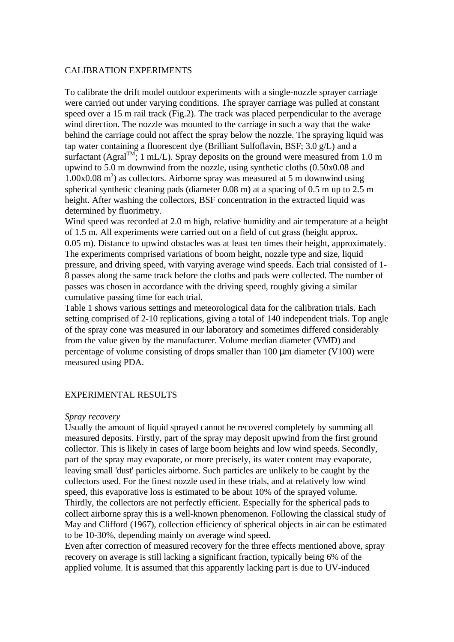#### CALIBRATION EXPERIMENTS

To calibrate the drift model outdoor experiments with a single-nozzle sprayer carriage were carried out under varying conditions. The sprayer carriage was pulled at constant speed over a 15 m rail track (Fig.2). The track was placed perpendicular to the average wind direction. The nozzle was mounted to the carriage in such a way that the wake behind the carriage could not affect the spray below the nozzle. The spraying liquid was tap water containing a fluorescent dye (Brilliant Sulfoflavin, BSF; 3.0 g/L) and a surfactant (Agral<sup>TM</sup>; 1 mL/L). Spray deposits on the ground were measured from 1.0 m upwind to 5.0 m downwind from the nozzle, using synthetic cloths (0.50x0.08 and 1.00x0.08 m 2 ) as collectors. Airborne spray was measured at 5 m downwind using spherical synthetic cleaning pads (diameter 0.08 m) at a spacing of 0.5 m up to 2.5 m height. After washing the collectors, BSF concentration in the extracted liquid was determined by fluorimetry.

Wind speed was recorded at 2.0 m high, relative humidity and air temperature at a height of 1.5 m. All experiments were carried out on a field of cut grass (height approx. 0.05 m). Distance to upwind obstacles was at least ten times their height, approximately. The experiments comprised variations of boom height, nozzle type and size, liquid pressure, and driving speed, with varying average wind speeds. Each trial consisted of 1- 8 passes along the same track before the cloths and pads were collected. The number of passes was chosen in accordance with the driving speed, roughly giving a similar cumulative passing time for each trial.

Table 1 shows various settings and meteorological data for the calibration trials. Each setting comprised of 2-10 replications, giving a total of 140 independent trials. Top angle of the spray cone was measured in our laboratory and sometimes differed considerably from the value given by the manufacturer. Volume median diameter (VMD) and percentage of volume consisting of drops smaller than 100 μm diameter (V100) were measured using PDA.

#### EXPERIMENTAL RESULTS

#### *Spray recovery*

Usually the amount of liquid sprayed cannot be recovered completely by summing all measured deposits. Firstly, part of the spray may deposit upwind from the first ground collector. This is likely in cases of large boom heights and low wind speeds. Secondly, part of the spray may evaporate, or more precisely, its water content may evaporate, leaving small 'dust' particles airborne. Such particles are unlikely to be caught by the collectors used. For the finest nozzle used in these trials, and at relatively low wind speed, this evaporative loss is estimated to be about 10% of the sprayed volume. Thirdly, the collectors are not perfectly efficient. Especially for the spherical pads to collect airborne spray this is a well-known phenomenon. Following the classical study of May and Clifford (1967), collection efficiency of spherical objects in air can be estimated to be 10-30%, depending mainly on average wind speed.

Even after correction of measured recovery for the three effects mentioned above, spray recovery on average is still lacking a significant fraction, typically being 6% of the applied volume. It is assumed that this apparently lacking part is due to UV-induced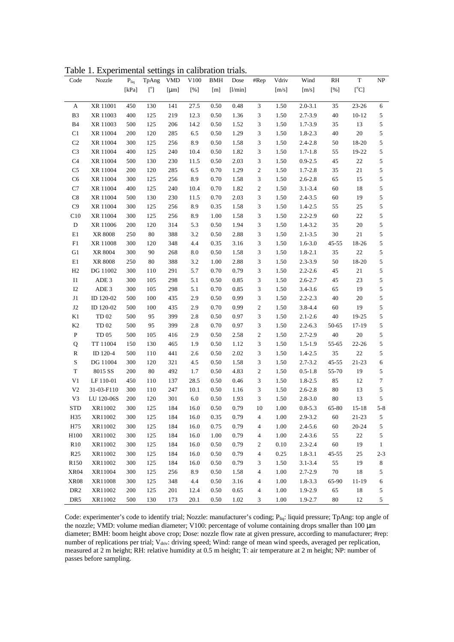Table 1. Experimental settings in calibration trials.

| Code            | Nozzle       | $P_{liq}$ | TpAng        | <b>VMD</b> | V100            | BMH      | Dose    | #Rep                        | Vdriv | Wind        | RH        | $\mathbf T$     | $\ensuremath{\mathsf{NP}}\xspace$ |
|-----------------|--------------|-----------|--------------|------------|-----------------|----------|---------|-----------------------------|-------|-------------|-----------|-----------------|-----------------------------------|
|                 |              | [kPa]     | $[^{\circ}]$ | [µm]       | [%]             | [m]      | [1/min] |                             | [m/s] | [m/s]       | [%]       | $\rm [^o\rm C]$ |                                   |
|                 |              |           |              |            |                 |          |         |                             |       |             |           |                 |                                   |
| A               | XR 11001     | 450       | 130          | 141        | 27.5            | $0.50\,$ | 0.48    | 3                           | 1.50  | $2.0 - 3.1$ | 35        | $23 - 26$       | 6                                 |
| B <sub>3</sub>  | XR 11003     | 400       | 125          | 219        | 12.3            | 0.50     | 1.36    | $\ensuremath{\mathfrak{Z}}$ | 1.50  | $2.7 - 3.9$ | 40        | $10 - 12$       | $\sqrt{5}$                        |
| B4              | XR 11003     | 500       | 125          | 206        | 14.2            | $0.50\,$ | 1.52    | 3                           | 1.50  | 1.7-3.9     | 35        | 13              | $\sqrt{5}$                        |
| C1              | XR 11004     | 200       | 120          | 285        | 6.5             | 0.50     | 1.29    | 3                           | 1.50  | 1.8-2.3     | $40\,$    | $20\,$          | $\mathfrak{S}$                    |
| C <sub>2</sub>  | XR 11004     | 300       | 125          | 256        | 8.9             | $0.50\,$ | 1.58    | 3                           | 1.50  | $2.4 - 2.8$ | $50\,$    | $18 - 20$       | $\mathfrak{S}$                    |
| C <sub>3</sub>  | XR 11004     | 400       | 125          | 240        | 10.4            | 0.50     | 1.82    | 3                           | 1.50  | $1.7 - 1.8$ | 55        | 19-22           | $\mathfrak{S}$                    |
| C4              | XR 11004     | 500       | 130          | 230        | 11.5            | 0.50     | 2.03    | 3                           | 1.50  | $0.9 - 2.5$ | 45        | $22\,$          | $\sqrt{5}$                        |
| C <sub>5</sub>  | XR 11004     | $200\,$   | 120          | 285        | 6.5             | 0.70     | 1.29    | $\sqrt{2}$                  | 1.50  | 1.7-2.8     | 35        | $21\,$          | $\mathfrak{S}$                    |
| C6              | XR 11004     | 300       | 125          | 256        | 8.9             | 0.70     | 1.58    | 3                           | 1.50  | $2.6 - 2.8$ | 65        | 15              | $\mathfrak{S}$                    |
| C7              | XR 11004     | 400       | 125          | 240        | 10.4            | 0.70     | 1.82    | $\sqrt{2}$                  | 1.50  | $3.1 - 3.4$ | 60        | 18              | $\mathfrak{S}$                    |
| C8              | XR 11004     | 500       | 130          | 230        | 11.5            | 0.70     | 2.03    | 3                           | 1.50  | $2.4 - 3.5$ | 60        | 19              | $\mathfrak{S}$                    |
| C9              | XR 11004     | 300       | 125          | 256        | 8.9             | 0.35     | 1.58    | 3                           | 1.50  | $1.4 - 2.5$ | 55        | $25\,$          | $\mathfrak{S}$                    |
| C10             | XR 11004     | 300       | 125          | 256        | 8.9             | 1.00     | 1.58    | 3                           | 1.50  | $2.2 - 2.9$ | 60        | 22              | $\mathfrak{S}$                    |
| ${\bf D}$       | XR 11006     | $200\,$   | 120          | 314        | 5.3             | 0.50     | 1.94    | 3                           | 1.50  | 1.4-3.2     | 35        | 20              | $\mathfrak{S}$                    |
| E1              | XR 8008      | 250       | $80\,$       | 388        | 3.2             | 0.50     | 2.88    | 3                           | 1.50  | $2.1 - 3.5$ | $30\,$    | $21\,$          | $\mathfrak{S}$                    |
| F1              | XR 11008     | 300       | 120          | 348        | 4.4             | 0.35     | 3.16    | 3                           | 1.50  | $1.6 - 3.0$ | $45 - 55$ | 18-26           | $\mathfrak{S}$                    |
| G1              | XR 8004      | 300       | 90           | 268        | $\!\!\!\!\!8.0$ | 0.50     | 1.58    | 3                           | 1.50  | $1.8 - 2.1$ | 35        | $22\,$          | $\mathfrak{S}$                    |
| E1              | XR 8008      | 250       | $80\,$       | 388        | 3.2             | 1.00     | 2.88    | 3                           | 1.50  | $2.3 - 3.9$ | $50\,$    | 18-20           | $\mathfrak{S}$                    |
| H2              | DG 11002     | 300       | 110          | 291        | 5.7             | 0.70     | 0.79    | 3                           | 1.50  | $2.2 - 2.6$ | 45        | 21              | $\sqrt{5}$                        |
| I <sub>1</sub>  | ADE 3        | 300       | 105          | 298        | 5.1             | 0.50     | 0.85    | 3                           | 1.50  | $2.6 - 2.7$ | $45\,$    | 23              | $\mathfrak{S}$                    |
| I2              | ADE 3        | 300       | 105          | 298        | 5.1             | 0.70     | 0.85    | 3                           | 1.50  | $3.4 - 3.6$ | 65        | 19              | $\mathfrak{S}$                    |
| J1              | ID 120-02    | 500       | 100          | 435        | 2.9             | 0.50     | 0.99    | 3                           | 1.50  | $2.2 - 2.3$ | $40\,$    | 20              | $\mathfrak{S}$                    |
| J2              | ID 120-02    | 500       | 100          | 435        | 2.9             | 0.70     | 0.99    | $\sqrt{2}$                  | 1.50  | $3.8 - 4.4$ | 60        | 19              | $\mathfrak{S}$                    |
| K1              | TD 02        | 500       | 95           | 399        | 2.8             | 0.50     | 0.97    | 3                           | 1.50  | $2.1 - 2.6$ | $40\,$    | 19-25           | $\mathfrak{S}$                    |
| K2              | TD 02        | 500       | 95           | 399        | 2.8             | 0.70     | 0.97    | 3                           | 1.50  | $2.2 - 6.3$ | $50 - 65$ | $17 - 19$       | $\mathfrak{S}$                    |
| P               | <b>TD 05</b> | 500       | 105          | 416        | 2.9             | 0.50     | 2.58    | $\sqrt{2}$                  | 1.50  | $2.7 - 2.9$ | $40\,$    | $20\,$          | $\mathfrak{S}$                    |
| Q               | TT 11004     | 150       | 130          | 465        | 1.9             | 0.50     | 1.12    | 3                           | 1.50  | $1.5 - 1.9$ | 55-65     | $22 - 26$       | $\mathfrak{S}$                    |
| R               | ID 120-4     | 500       | 110          | 441        | 2.6             | 0.50     | 2.02    | 3                           | 1.50  | $1.4 - 2.5$ | 35        | $22\,$          | $\sqrt{5}$                        |
| $\mathbf S$     | DG 11004     | 300       | 120          | 321        | 4.5             | 0.50     | 1.58    | 3                           | 1.50  | $2.7 - 3.2$ | $45 - 55$ | $21 - 23$       | $\sqrt{6}$                        |
| T               | 8015 SS      | 200       | $80\,$       | 492        | 1.7             | 0.50     | 4.83    | $\sqrt{2}$                  | 1.50  | $0.5 - 1.8$ | 55-70     | 19              | 5                                 |
| V <sub>1</sub>  | LF 110-01    | 450       | 110          | 137        | 28.5            | 0.50     | 0.46    | 3                           | 1.50  | 1.8-2.5     | 85        | 12              | $\overline{7}$                    |
| V <sub>2</sub>  | 31-03-F110   | 300       | 110          | 247        | 10.1            | 0.50     | 1.16    | 3                           | 1.50  | $2.6 - 2.8$ | $80\,$    | 13              | $\sqrt{5}$                        |
| V3              | LU 120-06S   | $200\,$   | 120          | 301        | $6.0\,$         | 0.50     | 1.93    | $\ensuremath{\mathfrak{Z}}$ | 1.50  | $2.8 - 3.0$ | $80\,$    | 13              | $\mathfrak{S}$                    |
| STD             | XR11002      | 300       | 125          | 184        | 16.0            | 0.50     | 0.79    | 10                          | 1.00  | $0.8 - 5.3$ | 65-80     | $15 - 18$       | $5 - 8$                           |
| H35             | XR11002      | 300       | 125          | 184        | 16.0            | 0.35     | 0.79    | 4                           | 1.00  | $2.9 - 3.2$ | 60        | 21-23           | 5                                 |
| H75             | XR11002      | 300       | 125          | 184        | 16.0            | 0.75     | 0.79    | 4                           | 1.00  | $2.4 - 5.6$ | 60        | $20 - 24$       | 5                                 |
| H100            | XR11002      | 300       | 125          | 184        | 16.0            | 1.00     | 0.79    | $\overline{4}$              | 1.00  | $2.4 - 3.6$ | 55        | $22\,$          | 5                                 |
| R10             | XR11002      | 300       | 125          | 184        | 16.0            | 0.50     | 0.79    | 2                           | 0.10  | $2.3 - 2.4$ | $60\,$    | 19              | $\mathbf{1}$                      |
| R25             | XR11002      | 300       | 125          | 184        | 16.0            | 0.50     | 0.79    | $\overline{4}$              | 0.25  | $1.8 - 3.1$ | $45 - 55$ | 25              | $2 - 3$                           |
| R150            | XR11002      | 300       | 125          | 184        | 16.0            | 0.50     | 0.79    | $\mathfrak{Z}$              | 1.50  | $3.1 - 3.4$ | 55        | 19              | 8                                 |
| <b>XR04</b>     | XR11004      | 300       | 125          | 256        | 8.9             | 0.50     | 1.58    | $\overline{4}$              | 1.00  | $2.7 - 2.9$ | 70        | 18              | 5                                 |
| <b>XR08</b>     | XR11008      | 300       | 125          | 348        | 4.4             | 0.50     | 3.16    | $\overline{4}$              | 1.00  | $1.8 - 3.3$ | 65-90     | $11 - 19$       | 6                                 |
| DR <sub>2</sub> | XR11002      | $200\,$   | 125          | 201        | 12.4            | 0.50     | 0.65    | $\overline{4}$              | 1.00  | 1.9-2.9     | 65        | $18\,$          | 5                                 |
| DR5             | XR11002      | 500       | 130          | 173        | 20.1            | 0.50     | 1.02    | $\mathfrak{Z}$              | 1.00  | 1.9-2.7     | 80        | 12              | 5                                 |

Code: experimenter's code to identify trial; Nozzle: manufacturer's coding; Pliq: liquid pressure; TpAng: top angle of the nozzle; VMD: volume median diameter; V100: percentage of volume containing drops smaller than 100 μm diameter; BMH: boom height above crop; Dose: nozzle flow rate at given pressure, according to manufacturer; #rep: number of replications per trial; V<sub>driv</sub>: driving speed; Wind: range of mean wind speeds, averaged per replication, measured at 2 m height; RH: relative humidity at 0.5 m height; T: air temperature at 2 m height; NP: number of passes before sampling.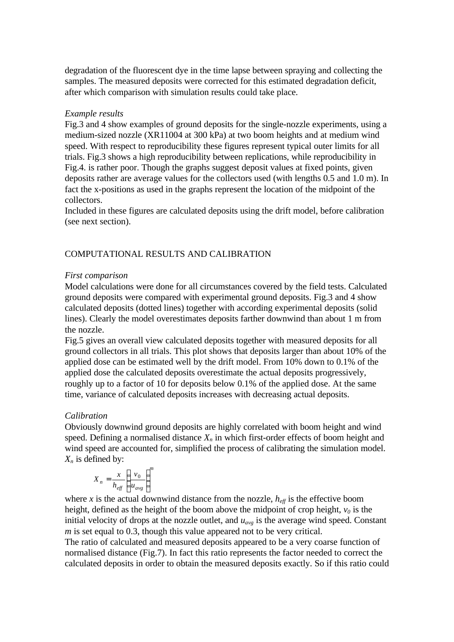degradation of the fluorescent dye in the time lapse between spraying and collecting the samples. The measured deposits were corrected for this estimated degradation deficit, after which comparison with simulation results could take place.

#### *Example results*

Fig.3 and 4 show examples of ground deposits for the single-nozzle experiments, using a medium-sized nozzle (XR11004 at 300 kPa) at two boom heights and at medium wind speed. With respect to reproducibility these figures represent typical outer limits for all trials. Fig.3 shows a high reproducibility between replications, while reproducibility in Fig.4. is rather poor. Though the graphs suggest deposit values at fixed points, given deposits rather are average values for the collectors used (with lengths 0.5 and 1.0 m). In fact the x-positions as used in the graphs represent the location of the midpoint of the collectors.

Included in these figures are calculated deposits using the drift model, before calibration (see next section).

## COMPUTATIONAL RESULTS AND CALIBRATION

#### *First comparison*

Model calculations were done for all circumstances covered by the field tests. Calculated ground deposits were compared with experimental ground deposits. Fig.3 and 4 show calculated deposits (dotted lines) together with according experimental deposits (solid lines). Clearly the model overestimates deposits farther downwind than about 1 m from the nozzle.

Fig.5 gives an overall view calculated deposits together with measured deposits for all ground collectors in all trials. This plot shows that deposits larger than about 10% of the applied dose can be estimated well by the drift model. From 10% down to 0.1% of the applied dose the calculated deposits overestimate the actual deposits progressively, roughly up to a factor of 10 for deposits below 0.1% of the applied dose. At the same time, variance of calculated deposits increases with decreasing actual deposits.

### *Calibration*

Obviously downwind ground deposits are highly correlated with boom height and wind speed. Defining a normalised distance  $X_n$  in which first-order effects of boom height and wind speed are accounted for, simplified the process of calibrating the simulation model.  $X_n$  is defined by:

$$
X_n = \frac{x}{h_{\text{eff}}} \left( \frac{v_0}{u_{\text{avg}}} \right)^m
$$

where *x* is the actual downwind distance from the nozzle,  $h_{\text{eff}}$  is the effective boom height, defined as the height of the boom above the midpoint of crop height, *v0* is the initial velocity of drops at the nozzle outlet, and *uavg* is the average wind speed. Constant *m* is set equal to 0.3, though this value appeared not to be very critical.

The ratio of calculated and measured deposits appeared to be a very coarse function of normalised distance (Fig.7). In fact this ratio represents the factor needed to correct the calculated deposits in order to obtain the measured deposits exactly. So if this ratio could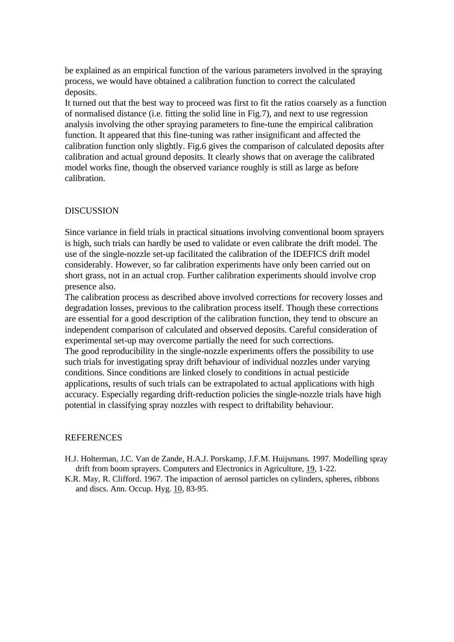be explained as an empirical function of the various parameters involved in the spraying process, we would have obtained a calibration function to correct the calculated deposits.

It turned out that the best way to proceed was first to fit the ratios coarsely as a function of normalised distance (i.e. fitting the solid line in Fig.7), and next to use regression analysis involving the other spraying parameters to fine-tune the empirical calibration function. It appeared that this fine-tuning was rather insignificant and affected the calibration function only slightly. Fig.6 gives the comparison of calculated deposits after calibration and actual ground deposits. It clearly shows that on average the calibrated model works fine, though the observed variance roughly is still as large as before calibration.

#### DISCUSSION

Since variance in field trials in practical situations involving conventional boom sprayers is high, such trials can hardly be used to validate or even calibrate the drift model. The use of the single-nozzle set-up facilitated the calibration of the IDEFICS drift model considerably. However, so far calibration experiments have only been carried out on short grass, not in an actual crop. Further calibration experiments should involve crop presence also.

The calibration process as described above involved corrections for recovery losses and degradation losses, previous to the calibration process itself. Though these corrections are essential for a good description of the calibration function, they tend to obscure an independent comparison of calculated and observed deposits. Careful consideration of experimental set-up may overcome partially the need for such corrections. The good reproducibility in the single-nozzle experiments offers the possibility to use such trials for investigating spray drift behaviour of individual nozzles under varying

conditions. Since conditions are linked closely to conditions in actual pesticide applications, results of such trials can be extrapolated to actual applications with high accuracy. Especially regarding drift-reduction policies the single-nozzle trials have high potential in classifying spray nozzles with respect to driftability behaviour.

#### REFERENCES

- H.J. Holterman, J.C. Van de Zande, H.A.J. Porskamp, J.F.M. Huijsmans. 1997. Modelling spray drift from boom sprayers. Computers and Electronics in Agriculture, 19, 1-22.
- K.R. May, R. Clifford. 1967. The impaction of aerosol particles on cylinders, spheres, ribbons and discs. Ann. Occup. Hyg. 10, 83-95.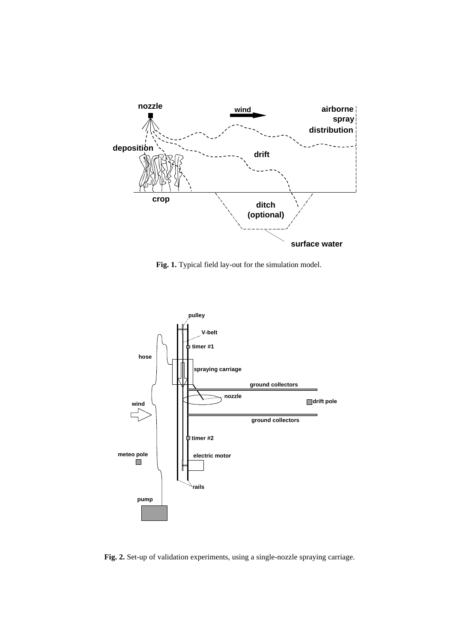

**Fig. 1.** Typical field lay-out for the simulation model.



**Fig. 2.** Set-up of validation experiments, using a single-nozzle spraying carriage.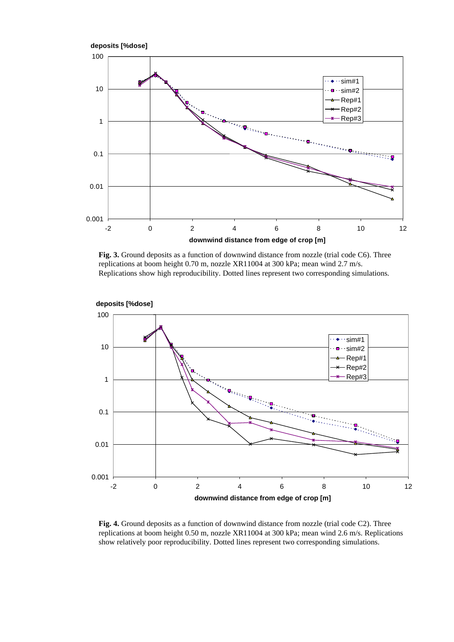

**Fig. 3.** Ground deposits as a function of downwind distance from nozzle (trial code C6). Three replications at boom height 0.70 m, nozzle XR11004 at 300 kPa; mean wind 2.7 m/s. Replications show high reproducibility. Dotted lines represent two corresponding simulations.



**Fig. 4.** Ground deposits as a function of downwind distance from nozzle (trial code C2). Three replications at boom height 0.50 m, nozzle XR11004 at 300 kPa; mean wind 2.6 m/s. Replications show relatively poor reproducibility. Dotted lines represent two corresponding simulations.